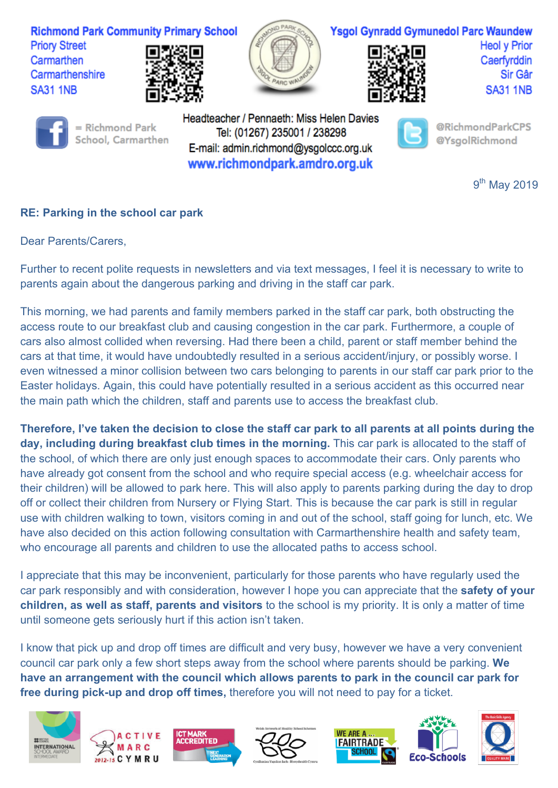

## **RE: Parking in the school car park**

Dear Parents/Carers,

Further to recent polite requests in newsletters and via text messages, I feel it is necessary to write to parents again about the dangerous parking and driving in the staff car park.

This morning, we had parents and family members parked in the staff car park, both obstructing the access route to our breakfast club and causing congestion in the car park. Furthermore, a couple of cars also almost collided when reversing. Had there been a child, parent or staff member behind the cars at that time, it would have undoubtedly resulted in a serious accident/injury, or possibly worse. I even witnessed a minor collision between two cars belonging to parents in our staff car park prior to the Easter holidays. Again, this could have potentially resulted in a serious accident as this occurred near the main path which the children, staff and parents use to access the breakfast club.

**Therefore, I've taken the decision to close the staff car park to all parents at all points during the day, including during breakfast club times in the morning.** This car park is allocated to the staff of the school, of which there are only just enough spaces to accommodate their cars. Only parents who have already got consent from the school and who require special access (e.g. wheelchair access for their children) will be allowed to park here. This will also apply to parents parking during the day to drop off or collect their children from Nursery or Flying Start. This is because the car park is still in regular use with children walking to town, visitors coming in and out of the school, staff going for lunch, etc. We have also decided on this action following consultation with Carmarthenshire health and safety team, who encourage all parents and children to use the allocated paths to access school.

I appreciate that this may be inconvenient, particularly for those parents who have regularly used the car park responsibly and with consideration, however I hope you can appreciate that the **safety of your children, as well as staff, parents and visitors** to the school is my priority. It is only a matter of time until someone gets seriously hurt if this action isn't taken.

I know that pick up and drop off times are difficult and very busy, however we have a very convenient council car park only a few short steps away from the school where parents should be parking. **We have an arrangement with the council which allows parents to park in the council car park for free during pick-up and drop off times,** therefore you will not need to pay for a ticket.